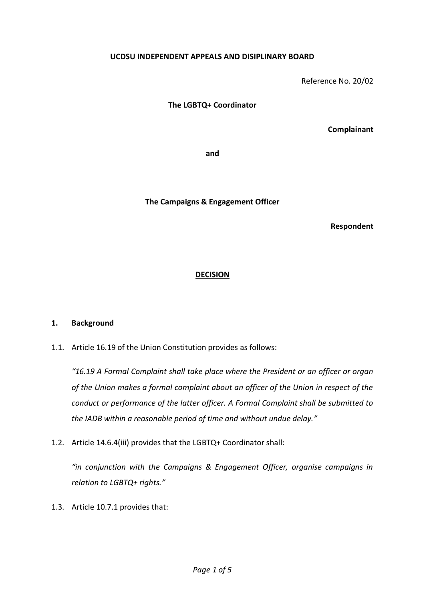## **UCDSU INDEPENDENT APPEALS AND DISIPLINARY BOARD**

Reference No. 20/02

**The LGBTQ+ Coordinator**

**Complainant**

**and**

**The Campaigns & Engagement Officer**

**Respondent**

## **DECISION**

## **1. Background**

1.1. Article 16.19 of the Union Constitution provides as follows:

*"16.19 A Formal Complaint shall take place where the President or an officer or organ of the Union makes a formal complaint about an officer of the Union in respect of the conduct or performance of the latter officer. A Formal Complaint shall be submitted to the IADB within a reasonable period of time and without undue delay."*

1.2. Article 14.6.4(iii) provides that the LGBTQ+ Coordinator shall:

*"in conjunction with the Campaigns & Engagement Officer, organise campaigns in relation to LGBTQ+ rights."*

1.3. Article 10.7.1 provides that: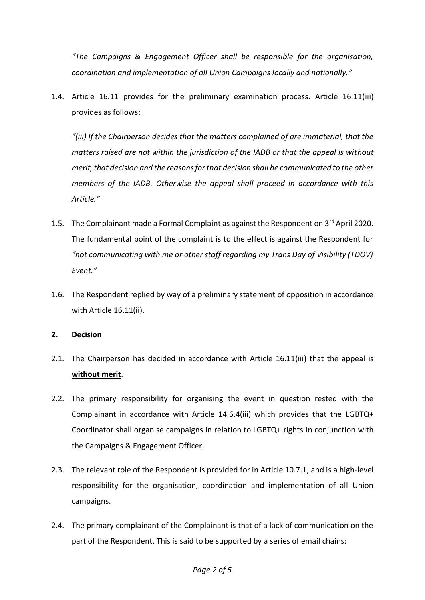*"The Campaigns & Engagement Officer shall be responsible for the organisation, coordination and implementation of all Union Campaigns locally and nationally."*

1.4. Article 16.11 provides for the preliminary examination process. Article 16.11(iii) provides as follows:

*"(iii) If the Chairperson decides that the matters complained of are immaterial, that the matters raised are not within the jurisdiction of the IADB or that the appeal is without merit, that decision and the reasons for that decision shall be communicated to the other members of the IADB. Otherwise the appeal shall proceed in accordance with this Article."*

- 1.5. The Complainant made a Formal Complaint as against the Respondent on 3<sup>rd</sup> April 2020. The fundamental point of the complaint is to the effect is against the Respondent for *"not communicating with me or other staff regarding my Trans Day of Visibility (TDOV) Event."*
- 1.6. The Respondent replied by way of a preliminary statement of opposition in accordance with Article 16.11(ii).
- **2. Decision**
- 2.1. The Chairperson has decided in accordance with Article 16.11(iii) that the appeal is **without merit**.
- 2.2. The primary responsibility for organising the event in question rested with the Complainant in accordance with Article 14.6.4(iii) which provides that the LGBTQ+ Coordinator shall organise campaigns in relation to LGBTQ+ rights in conjunction with the Campaigns & Engagement Officer.
- 2.3. The relevant role of the Respondent is provided for in Article 10.7.1, and is a high-level responsibility for the organisation, coordination and implementation of all Union campaigns.
- 2.4. The primary complainant of the Complainant is that of a lack of communication on the part of the Respondent. This is said to be supported by a series of email chains: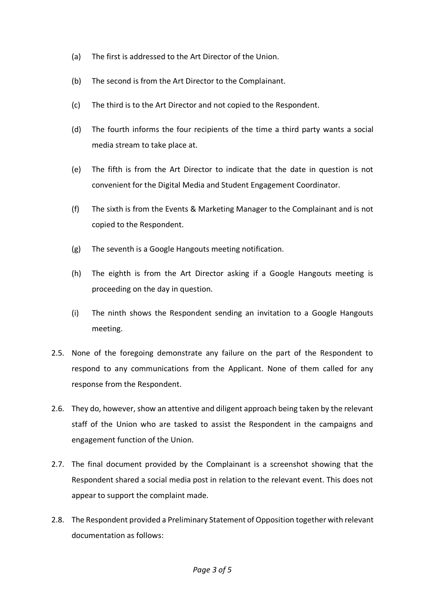- (a) The first is addressed to the Art Director of the Union.
- (b) The second is from the Art Director to the Complainant.
- (c) The third is to the Art Director and not copied to the Respondent.
- (d) The fourth informs the four recipients of the time a third party wants a social media stream to take place at.
- (e) The fifth is from the Art Director to indicate that the date in question is not convenient for the Digital Media and Student Engagement Coordinator.
- (f) The sixth is from the Events & Marketing Manager to the Complainant and is not copied to the Respondent.
- (g) The seventh is a Google Hangouts meeting notification.
- (h) The eighth is from the Art Director asking if a Google Hangouts meeting is proceeding on the day in question.
- (i) The ninth shows the Respondent sending an invitation to a Google Hangouts meeting.
- 2.5. None of the foregoing demonstrate any failure on the part of the Respondent to respond to any communications from the Applicant. None of them called for any response from the Respondent.
- 2.6. They do, however, show an attentive and diligent approach being taken by the relevant staff of the Union who are tasked to assist the Respondent in the campaigns and engagement function of the Union.
- 2.7. The final document provided by the Complainant is a screenshot showing that the Respondent shared a social media post in relation to the relevant event. This does not appear to support the complaint made.
- 2.8. The Respondent provided a Preliminary Statement of Opposition together with relevant documentation as follows: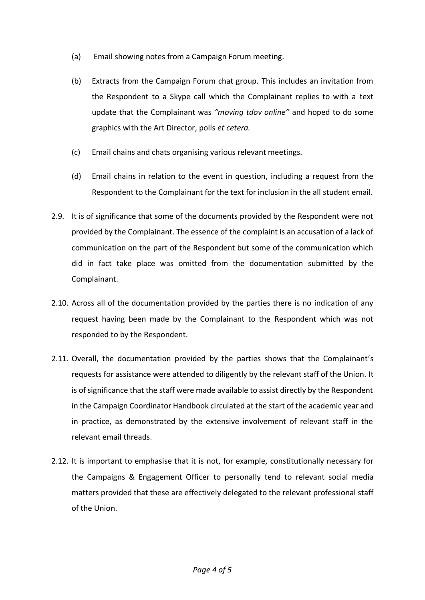- (a) Email showing notes from a Campaign Forum meeting.
- (b) Extracts from the Campaign Forum chat group. This includes an invitation from the Respondent to a Skype call which the Complainant replies to with a text update that the Complainant was *"moving tdov online"* and hoped to do some graphics with the Art Director, polls *et cetera.*
- (c) Email chains and chats organising various relevant meetings.
- (d) Email chains in relation to the event in question, including a request from the Respondent to the Complainant for the text for inclusion in the all student email.
- 2.9. It is of significance that some of the documents provided by the Respondent were not provided by the Complainant. The essence of the complaint is an accusation of a lack of communication on the part of the Respondent but some of the communication which did in fact take place was omitted from the documentation submitted by the Complainant.
- 2.10. Across all of the documentation provided by the parties there is no indication of any request having been made by the Complainant to the Respondent which was not responded to by the Respondent.
- 2.11. Overall, the documentation provided by the parties shows that the Complainant's requests for assistance were attended to diligently by the relevant staff of the Union. It is of significance that the staff were made available to assist directly by the Respondent in the Campaign Coordinator Handbook circulated at the start of the academic year and in practice, as demonstrated by the extensive involvement of relevant staff in the relevant email threads.
- 2.12. It is important to emphasise that it is not, for example, constitutionally necessary for the Campaigns & Engagement Officer to personally tend to relevant social media matters provided that these are effectively delegated to the relevant professional staff of the Union.